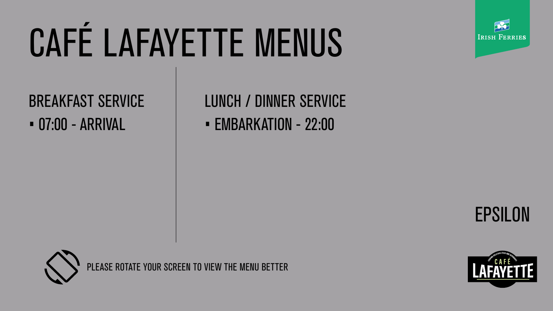









# CAFÉ LAFAYETTE MENUS

PLEASE ROTATE YOUR SCREEN TO VIEW THE MENU BETTER



## BREAKFAST SERVICE • 07:00 - ARRIVAL • EMBARKATION - 22:00



# LUNCH / DINNER SERVICE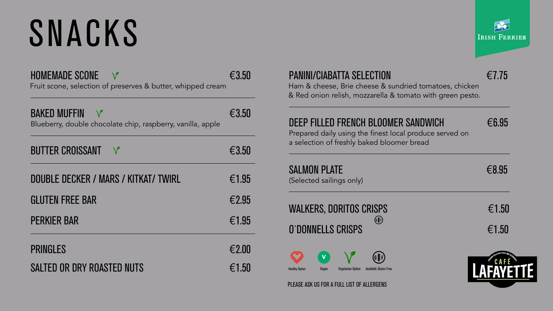| <b>HOMEMADE SCONE</b> |                                                             | €3.50 |
|-----------------------|-------------------------------------------------------------|-------|
|                       | Fruit scone, selection of preserves & butter, whipped cream |       |

| <b>BAKED MUFFIN</b><br>Blueberry, double chocolate chip, raspberry, vanilla, apple |                 |
|------------------------------------------------------------------------------------|-----------------|
| <b>BUTTER CROISSANT V</b>                                                          | $\epsilon$ 3.50 |
| DOUBLE DECKER / MARS / KITKAT/ TWIRL                                               | $\epsilon$ 1.95 |

| <b>GLUTEN FREE BAR</b> | €2.95 |
|------------------------|-------|
| <b>PERKIER BAR</b>     | €1.95 |

| <b>PRINGLES</b>                   | €2.00 |
|-----------------------------------|-------|
| <b>SALTED OR DRY ROASTED NUTS</b> | €1.50 |



### PANINI/CIABATTA SELECTION €7.75

### WALKERS, DORITOS CRISPS  $\epsilon$ 1.50  $(G_{\frac{3}{2}}F)$ O`DONNELLS CRISPS €1.50

Ham & cheese, Brie cheese & sundried tomatoes, chicken & Red onion relish, mozzarella & tomato with green pesto.

### DEEP FILLED FRENCH BLOOMER SANDWICH  $66.95$

Prepared daily using the finest local produce served on a selection of freshly baked bloomer bread

### $SALMON PLATE$   $\epsilon$ 8.95

(Selected sailings only)

# SNACKS



PLEASE ASK US FOR A FULL LIST OF ALLERGENS





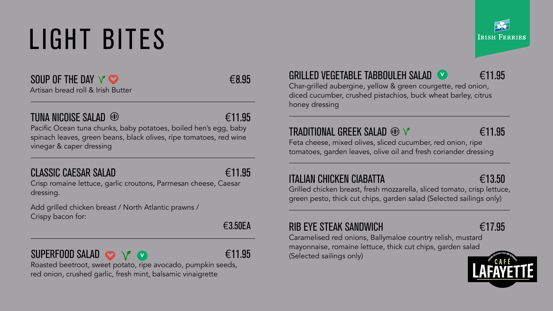SOUP OF THE DAY  $\vee$   $\heartsuit$   $\in$ 8.95 Artisan bread roll & Irish Butter

### TUNA NICOISE SALAD <sup>®</sup>

Pacific Ocean tuna chunks, baby potatoes, boiled hen's egg, baby spinach leaves, green beans, black olives, ripe tomatoes, red wine vinegar & caper dressing

### CLASSIC CAESAR SALAD  $\epsilon$  11.95

Crisp romaine lettuce, garlic croutons, Parmesan cheese, Caesar dressing.

Add grilled chicken breast / North Atlantic prawns / Crispy bacon for:

€3.50EA

Roasted beetroot, sweet potato, ripe avocado, pumpkin seeds, red onion, crushed garlic, fresh mint, balsamic vinaigrette



### GRILLED VEGETABLE TABBOULEH SALAD (V €11.95

### SUPERFOOD SALAD  $\odot \vee \vee$ V

Char-grilled aubergine, yellow & green courgette, red onion, diced cucumber, crushed pistachios, buck wheat barley, citrus honey dressing

### TRADITIONAL GREEK SALAD <del>®</del> ∨ 611.95

Feta cheese, mixed olives, sliced cucumber, red onion, ripe tomatoes, garden leaves, olive oil and fresh coriander dressing

### ITALIAN CHICKEN CIABATTA  $\epsilon$ 13.50

Grilled chicken breast, fresh mozzarella, sliced tomato, crisp lettuce, green pesto, thick cut chips, garden salad (Selected sailings only)

### RIB EYE STEAK SANDWICH  $\epsilon$  17.95

Caramelised red onions, Ballymaloe country relish, mustard mayonnaise, romaine lettuce, thick cut chips, garden salad (Selected sailings only)





# LIGHT BITES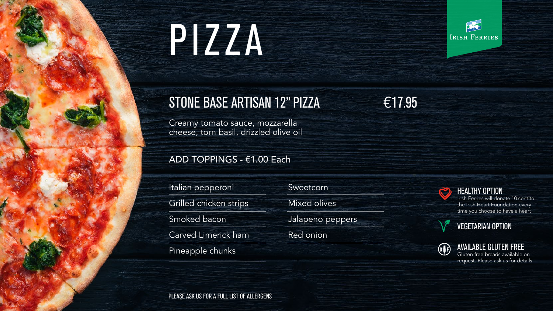### HEALTHY OPTION

Irish Ferries will donate 10 cent to the Irish Heart Foundation every time you choose to have a heart





### AVAILABLE GLUTEN FREE

Gluten free breads available on request. Please ask us for details





PLEASE ASK US FOR A FULL LIST OF ALLERGENS



Creamy tomato sauce, mozzarella cheese, torn basil, drizzled olive oil

### ADD TOPPINGS - €1.00 Each

Sweetcorn

Mixed olives

Jalapeno peppers

Red onion





Italian pepperoni Grilled chicken strips Smoked bacon Carved Limerick ham Pineapple chunks

# PIZZA

### STONE BASE ARTISAN 12" PIZZA €17.95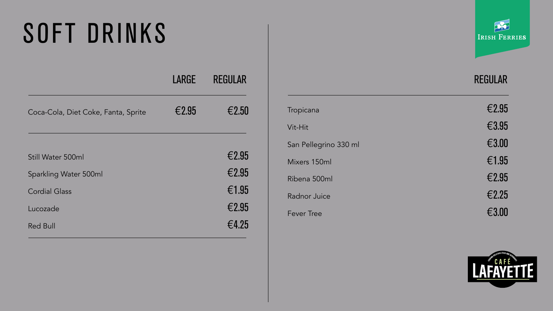| LARGE | <b>REGULAR</b> |
|-------|----------------|
| €2.95 | €2.50          |
|       | €2.95          |
|       | €2.95          |
|       | €1.95          |
|       | €2.95          |
|       | €4.25          |
|       |                |



### REGULAR

| Tropicana             | €2.95 |
|-----------------------|-------|
| Vit-Hit               | €3.95 |
| San Pellegrino 330 ml | €3.00 |
| Mixers 150ml          | €1.95 |
| Ribena 500ml          | €2.95 |
| <b>Radnor Juice</b>   | €2.25 |
| <b>Fever Tree</b>     | €3.00 |





## SOFT DRINKS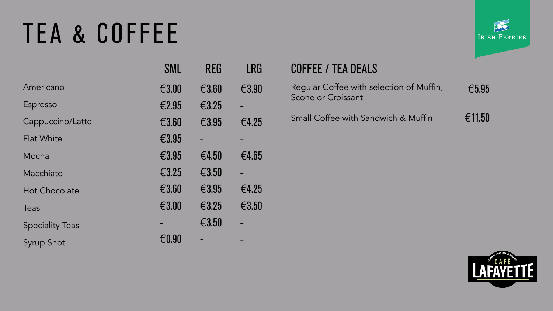## TEA & COFFEE

|                        | SML   | <b>REG</b> | LRG   |
|------------------------|-------|------------|-------|
| Americano              | €3.00 | €3.60      | €3.90 |
| Espresso               | €2.95 | €3.25      |       |
| Cappuccino/Latte       | €3.60 | €3.95      | €4.25 |
| <b>Flat White</b>      | €3.95 |            |       |
| Mocha                  | €3.95 | €4.50      | €4.65 |
| Macchiato              | €3.25 | €3.50      |       |
| <b>Hot Chocolate</b>   | €3.60 | €3.95      | €4.25 |
| Teas                   | €3.00 | € $3.25$   | €3.50 |
| <b>Speciality Teas</b> |       | €3.50      |       |
| Syrup Shot             | €0.90 |            |       |



### COFFEE / TEA DEALS

€5.95 Regular Coffee with selection of Muffin, Scone or Croissant

€11.50 Small Coffee with Sandwich & Muffin





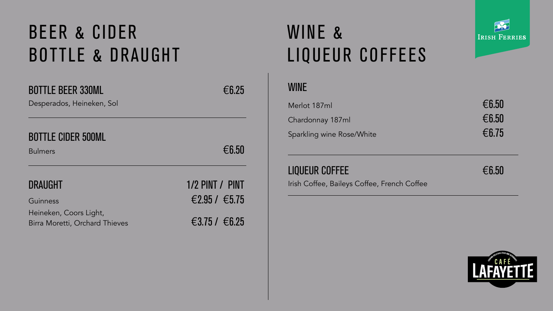Desperados, Heineken, Sol

### BOTTLE CIDER 500ML

Bulmers  $\epsilon$ 6.50

Guinness  $\epsilon$ 2.95 /  $\epsilon$ 5.75 Heineken, Coors Light, Birra Moretti, Orchard Thieves 63.75 / 66.25

DRAUGHT 1/2 PINT / PINT

## WINE & LIQUEUR COFFEES



### WINE

| Merlot 187ml              | $\epsilon$ 6.50 |
|---------------------------|-----------------|
| Chardonnay 187ml          | $\epsilon$ 6.50 |
| Sparkling wine Rose/White | $\epsilon$ 6.75 |

### LIQUEUR COFFEE  $\epsilon_{6.50}$

Irish Coffee, Baileys Coffee, French Coffee

LAFAYETTE





## BEER & CIDER BOTTLE & DRAUGHT

### BOTTLE BEER 330ML  $66.25$